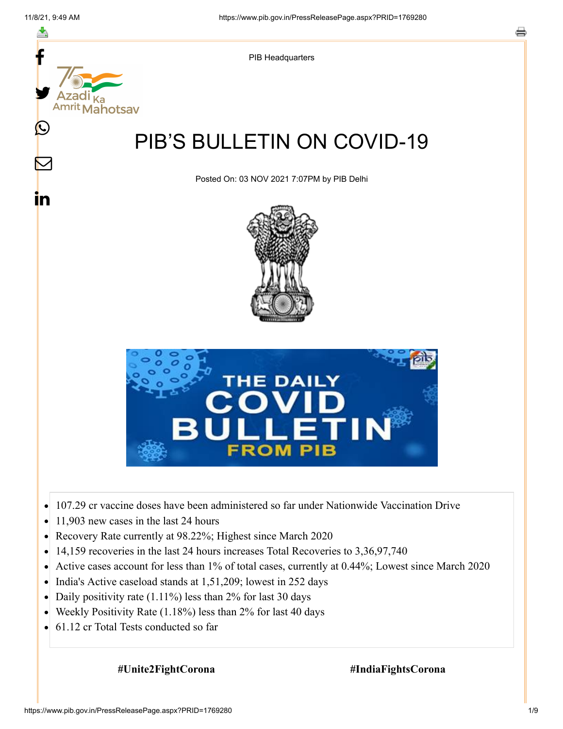f



- 11,903 new cases in the last 24 hours  $\bullet$
- Recovery Rate currently at 98.22%; Highest since March 2020  $\bullet$
- $\bullet$ 14,159 recoveries in the last 24 hours increases Total Recoveries to 3,36,97,740
- $\bullet$ Active cases account for less than 1% of total cases, currently at 0.44%; Lowest since March 2020
- India's Active caseload stands at 1,51,209; lowest in 252 days
- Daily positivity rate (1.11%) less than 2% for last 30 days  $\bullet$
- Weekly Positivity Rate (1.18%) less than 2% for last 40 days
- 61.12 cr Total Tests conducted so far  $\bullet$

**#Unite2FightCorona #IndiaFightsCorona**

#### https://www.pib.gov.in/PressReleasePage.aspx?PRID=1769280 1/9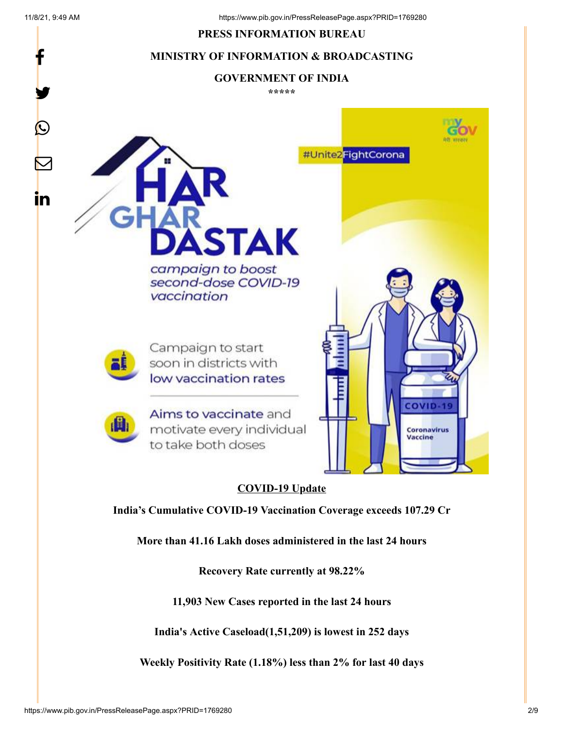f

y.

#### **PRESS INFORMATION BUREAU**

### **MINISTRY OF INFORMATION & BROADCASTING**

#### **GOVERNMENT OF INDIA**

**\*\*\*\*\***



## **COVID-19 Update**

**India's Cumulative COVID-19 Vaccination Coverage exceeds 107.29 Cr**

**More than 41.16 Lakh doses administered in the last 24 hours**

**Recovery Rate currently at 98.22%**

**11,903 New Cases reported in the last 24 hours**

**India's Active Caseload(1,51,209) is lowest in 252 days**

**Weekly Positivity Rate (1.18%) less than 2% for last 40 days**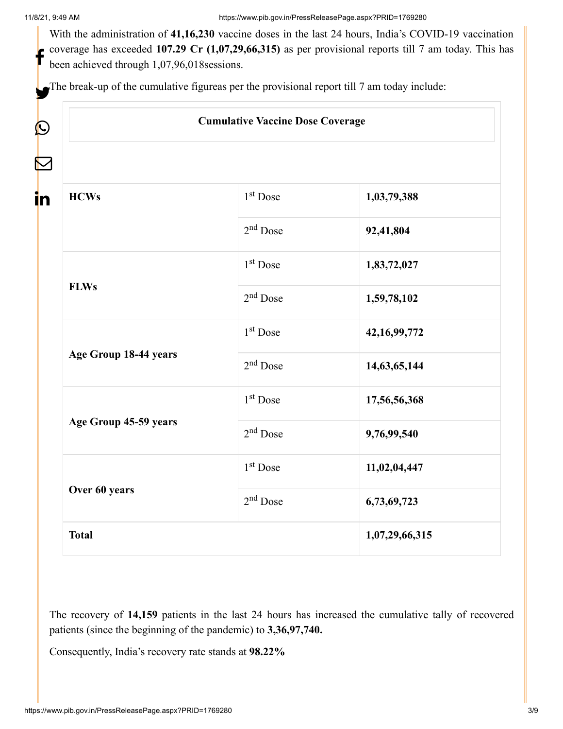$\bm{\mathcal{Q}}$ 

 $\sum_{i=1}^{n}$ 

in

With the administration of **41,16,230** vaccine doses in the last 24 hours, India's COVID-19 vaccination coverage has exceeded **107.29 Cr (1,07,29,66,315)** as per provisional reports till 7 am today. This has been achieved through 1,07,96,018sessions. f

The break-up of the cumulative figureas per the provisional report till 7 am today include:

| <b>Cumulative Vaccine Dose Coverage</b> |                      |                 |
|-----------------------------------------|----------------------|-----------------|
|                                         |                      |                 |
| <b>HCWs</b>                             | 1 <sup>st</sup> Dose | 1,03,79,388     |
|                                         | $2nd$ Dose           | 92,41,804       |
| <b>FLWs</b>                             | $1st$ Dose           | 1,83,72,027     |
|                                         | $2nd$ Dose           | 1,59,78,102     |
| Age Group 18-44 years                   | $1st$ Dose           | 42, 16, 99, 772 |
|                                         | $2nd$ Dose           | 14,63,65,144    |
| Age Group 45-59 years                   | $1st$ Dose           | 17,56,56,368    |
|                                         | $2nd$ Dose           | 9,76,99,540     |
| Over 60 years                           | 1 <sup>st</sup> Dose | 11,02,04,447    |
|                                         | 2 <sup>nd</sup> Dose | 6,73,69,723     |
| <b>Total</b>                            |                      | 1,07,29,66,315  |

The recovery of **14,159** patients in the last 24 hours has increased the cumulative tally of recovered patients (since the beginning of the pandemic) to **3,36,97,740.**

Consequently, India's recovery rate stands at **98.22%**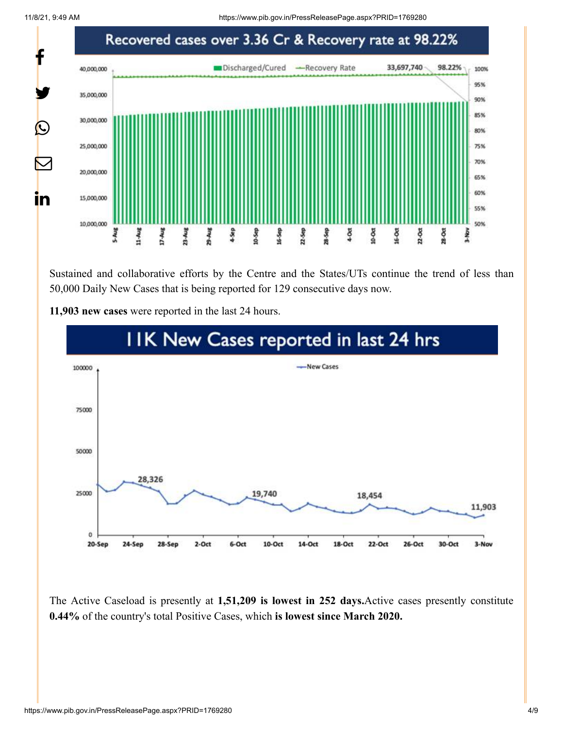11/8/21, 9:49 AM https://www.pib.gov.in/PressReleasePage.aspx?PRID=1769280



Sustained and collaborative efforts by the Centre and the States/UTs continue the trend of less than 50,000 Daily New Cases that is being reported for 129 consecutive days now.



**11,903 new cases** were reported in the last 24 hours.

The Active Caseload is presently at **1,51,209 is lowest in 252 days.**Active cases presently constitute **0.44%** of the country's total Positive Cases, which **is lowest since March 2020.**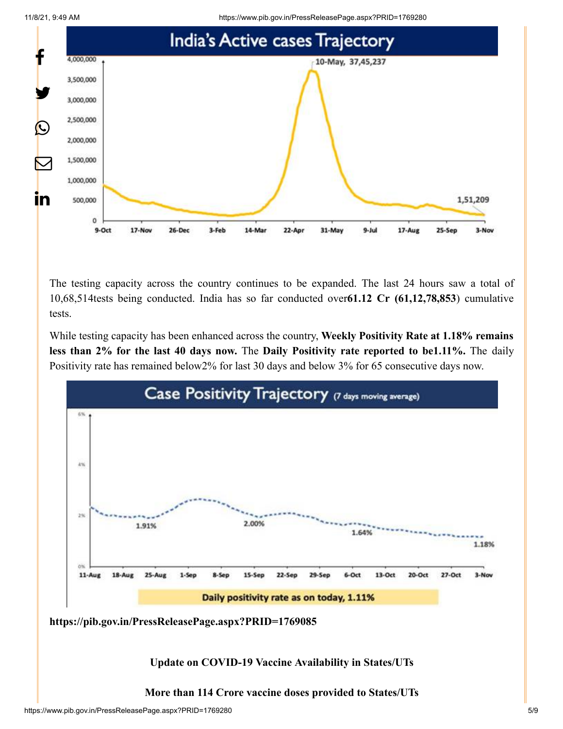11/8/21, 9:49 AM https://www.pib.gov.in/PressReleasePage.aspx?PRID=1769280





The testing capacity across the country continues to be expanded. The last 24 hours saw a total of 10,68,514tests being conducted. India has so far conducted over**61.12 Cr (61,12,78,853**) cumulative tests.

While testing capacity has been enhanced across the country, **Weekly Positivity Rate at 1.18% remains less than 2% for the last 40 days now.** The **Daily Positivity rate reported to be1.11%.** The daily Positivity rate has remained below2% for last 30 days and below 3% for 65 consecutive days now.



**<https://pib.gov.in/PressReleasePage.aspx?PRID=1769085>**

**Update on COVID-19 Vaccine Availability in States/UTs**

**More than 114 Crore vaccine doses provided to States/UTs**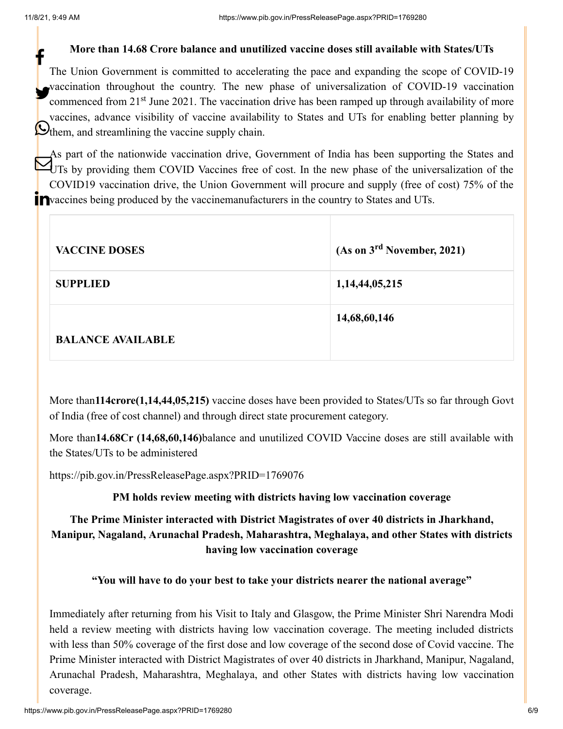## **More than 14.68 Crore balance and unutilized vaccine doses still available with States/UTs**

The Union Government is committed to accelerating the pace and expanding the scope of COVID-19 vaccination throughout the country. The new phase of universalization of COVID-19 vaccination commenced from 21<sup>st</sup> June 2021. The vaccination drive has been ramped up through availability of more vaccines, advance visibility of vaccine availability to States and UTs for enabling better planning by Othem, and streamlining the vaccine supply chain. f

As part of the nationwide vaccination drive, Government of India has been supporting the States and UTs by providing them COVID Vaccines free of cost. In the new phase of the universalization of the COVID19 vaccination drive, the Union Government will procure and supply (free of cost) 75% of the Pvaccines being produced by the vaccinemanufacturers in the country to States and UTs.

| <b>VACCINE DOSES</b>     | (As on 3 <sup>rd</sup> November, 2021) |
|--------------------------|----------------------------------------|
| <b>SUPPLIED</b>          | 1,14,44,05,215                         |
|                          | 14,68,60,146                           |
| <b>BALANCE AVAILABLE</b> |                                        |

More than**114crore(1,14,44,05,215)** vaccine doses have been provided to States/UTs so far through Govt of India (free of cost channel) and through direct state procurement category.

More than**14.68Cr (14,68,60,146)**balance and unutilized COVID Vaccine doses are still available with the States/UTs to be administered

<https://pib.gov.in/PressReleasePage.aspx?PRID=1769076>

**PM holds review meeting with districts having low vaccination coverage**

# **The Prime Minister interacted with District Magistrates of over 40 districts in Jharkhand, Manipur, Nagaland, Arunachal Pradesh, Maharashtra, Meghalaya, and other States with districts having low vaccination coverage**

## **"You will have to do your best to take your districts nearer the national average"**

Immediately after returning from his Visit to Italy and Glasgow, the Prime Minister Shri Narendra Modi held a review meeting with districts having low vaccination coverage. The meeting included districts with less than 50% coverage of the first dose and low coverage of the second dose of Covid vaccine. The Prime Minister interacted with District Magistrates of over 40 districts in Jharkhand, Manipur, Nagaland, Arunachal Pradesh, Maharashtra, Meghalaya, and other States with districts having low vaccination coverage.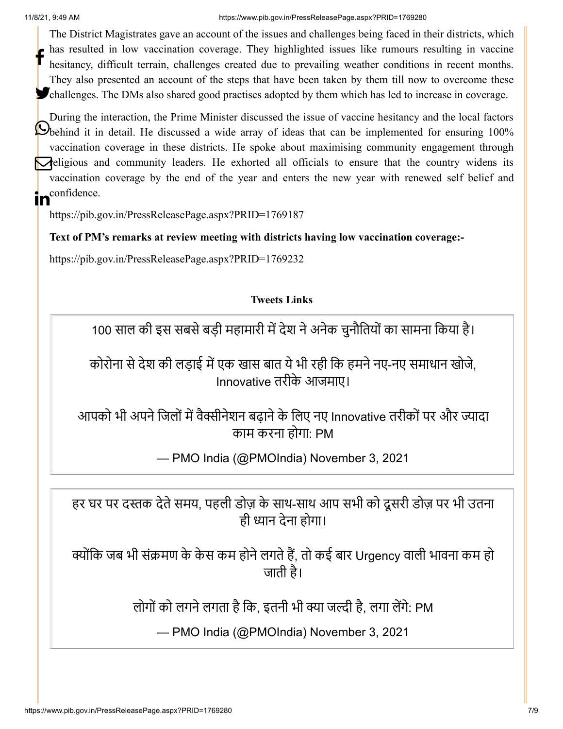The District Magistrates gave an account of the issues and challenges being faced in their districts, which has resulted in low vaccination coverage. They highlighted issues like rumours resulting in vaccine hesitancy, difficult terrain, challenges created due to prevailing weather conditions in recent months. They also presented an account of the steps that have been taken by them till now to overcome these Challenges. The DMs also shared good practises adopted by them which has led to increase in coverage. f

During the interaction, the Prime Minister discussed the issue of vaccine hesitancy and the local factors **O**behind it in detail. He discussed a wide array of ideas that can be implemented for ensuring 100% vaccination coverage in these districts. He spoke about maximising community engagement through **religious and community leaders.** He exhorted all officials to ensure that the country widens its vaccination coverage by the end of the year and enters the new year with renewed self belief and in<sup>confidence.</sup>

<https://pib.gov.in/PressReleasePage.aspx?PRID=1769187>

**Text of PM's remarks at review meeting with districts having low vaccination coverage:-**

<https://pib.gov.in/PressReleasePage.aspx?PRID=1769232>

## **Tweets Links**

100 साल की इस सबसे बड़ी महामारी में देश ने अनेक चुनौतियों का सामना किया है।

कोरोना से देश की लड़ाई में एक खास बात ये भी रही कि हमने नए-नए समाधान खोजे, Innovative तरीके आजमाए।

आपको भी अपने जिलों में वैक्सीनेशन बढ़ाने के लिए नए Innovative तरीकों पर और ज्यादा काम करना होगा: PM

— PMO India (@PMOIndia) [November 3, 2021](https://twitter.com/PMOIndia/status/1455807359687684100?ref_src=twsrc%5Etfw)

हर घर पर दस्तक देते समय, पहली डोज़ के साथ-साथ आप सभी को दूसरी डोज़ पर भी उतना ही ध्यान देना होगा।

क्योंकि जब भी संक्रमण के केस कम होने लगते हैं, तो कई बार Urgency वाली भावना कम हो जाती है।

लोगों को लगने लगता है कि, इतनी भी क्या जल्दी है, लगा लेंगे: PM

— PMO India (@PMOIndia) [November 3, 2021](https://twitter.com/PMOIndia/status/1455809554541727745?ref_src=twsrc%5Etfw)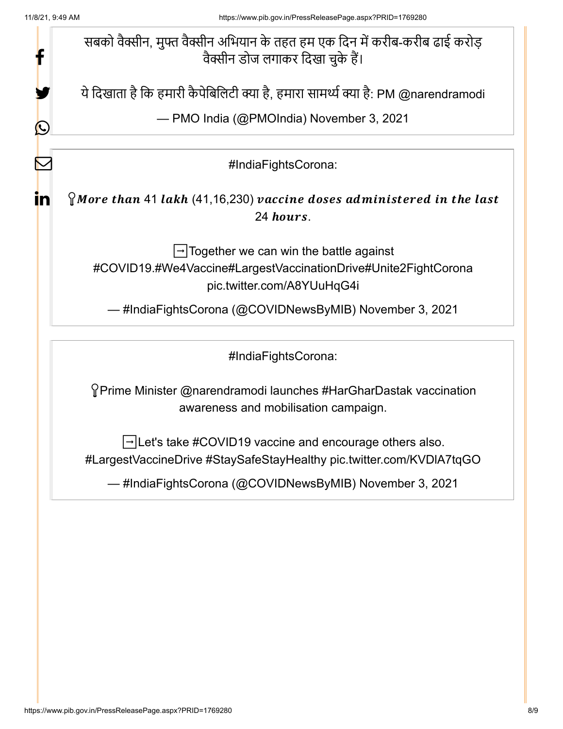| 11/8/21, 9:49 AM | https://www.pib.gov.in/PressReleasePage.aspx?PRID=1769280                                                                                            |
|------------------|------------------------------------------------------------------------------------------------------------------------------------------------------|
|                  | सबको वैक्सीन, मुफ्त वैक्सीन अभियान के तहत हम एक दिन में करीब-करीब ढाई करोड़<br>वैक्सीन डोज लगाकर दिखा चुके हैं।                                      |
|                  | ये दिखाता है कि हमारी कैपेबिलिटी क्या है, हमारा सामर्थ्य क्या है: PM @narendramodi                                                                   |
|                  | - PMO India (@PMOIndia) November 3, 2021                                                                                                             |
|                  | #IndiaFightsCorona:                                                                                                                                  |
| ın               | $\gamma$ More than 41 lakh (41,16,230) vaccine doses administered in the last<br>24 hours.                                                           |
|                  | $\rightarrow$ Together we can win the battle against<br>#COVID19.#We4Vaccine#LargestVaccinationDrive#Unite2FightCorona<br>pic.twitter.com/A8YUuHqG4i |
|                  | — #IndiaFightsCorona (@COVIDNewsByMIB) November 3, 2021                                                                                              |
|                  | #IndiaFightsCorona:                                                                                                                                  |
|                  | ິYPrime Minister @narendramodi launches #HarGharDastak vaccination<br>awareness and mobilisation campaign.                                           |
|                  | → Let's take #COVID19 vaccine and encourage others also.<br>#LargestVaccineDrive #StaySafeStayHealthy pic.twitter.com/KVDIA7tqGO                     |
|                  | — #IndiaFightsCorona (@COVIDNewsByMIB) November 3, 2021                                                                                              |
|                  |                                                                                                                                                      |
|                  |                                                                                                                                                      |